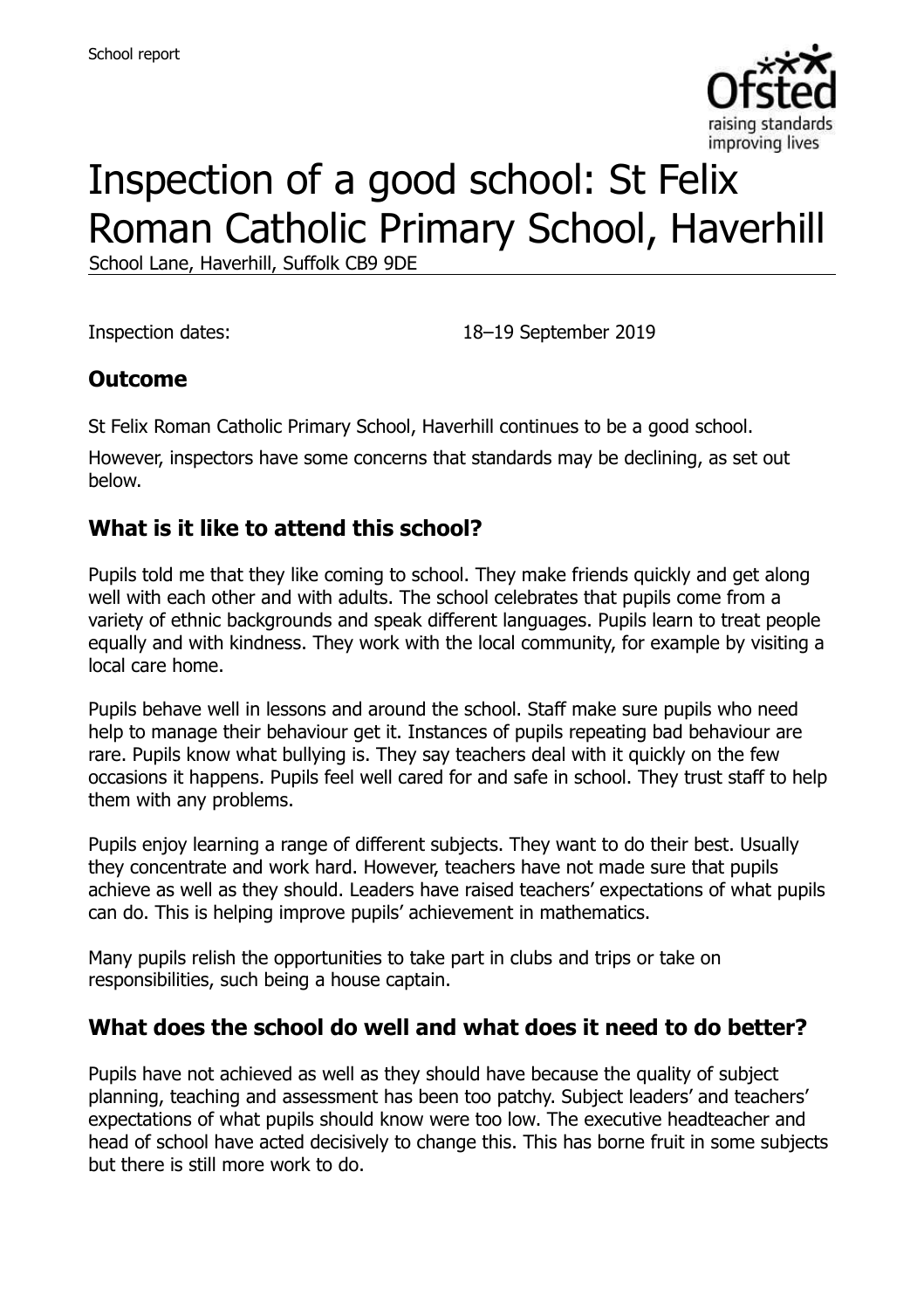

# Inspection of a good school: St Felix Roman Catholic Primary School, Haverhill

School Lane, Haverhill, Suffolk CB9 9DE

Inspection dates: 18–19 September 2019

#### **Outcome**

St Felix Roman Catholic Primary School, Haverhill continues to be a good school.

However, inspectors have some concerns that standards may be declining, as set out below.

#### **What is it like to attend this school?**

Pupils told me that they like coming to school. They make friends quickly and get along well with each other and with adults. The school celebrates that pupils come from a variety of ethnic backgrounds and speak different languages. Pupils learn to treat people equally and with kindness. They work with the local community, for example by visiting a local care home.

Pupils behave well in lessons and around the school. Staff make sure pupils who need help to manage their behaviour get it. Instances of pupils repeating bad behaviour are rare. Pupils know what bullying is. They say teachers deal with it quickly on the few occasions it happens. Pupils feel well cared for and safe in school. They trust staff to help them with any problems.

Pupils enjoy learning a range of different subjects. They want to do their best. Usually they concentrate and work hard. However, teachers have not made sure that pupils achieve as well as they should. Leaders have raised teachers' expectations of what pupils can do. This is helping improve pupils' achievement in mathematics.

Many pupils relish the opportunities to take part in clubs and trips or take on responsibilities, such being a house captain.

### **What does the school do well and what does it need to do better?**

Pupils have not achieved as well as they should have because the quality of subject planning, teaching and assessment has been too patchy. Subject leaders' and teachers' expectations of what pupils should know were too low. The executive headteacher and head of school have acted decisively to change this. This has borne fruit in some subjects but there is still more work to do.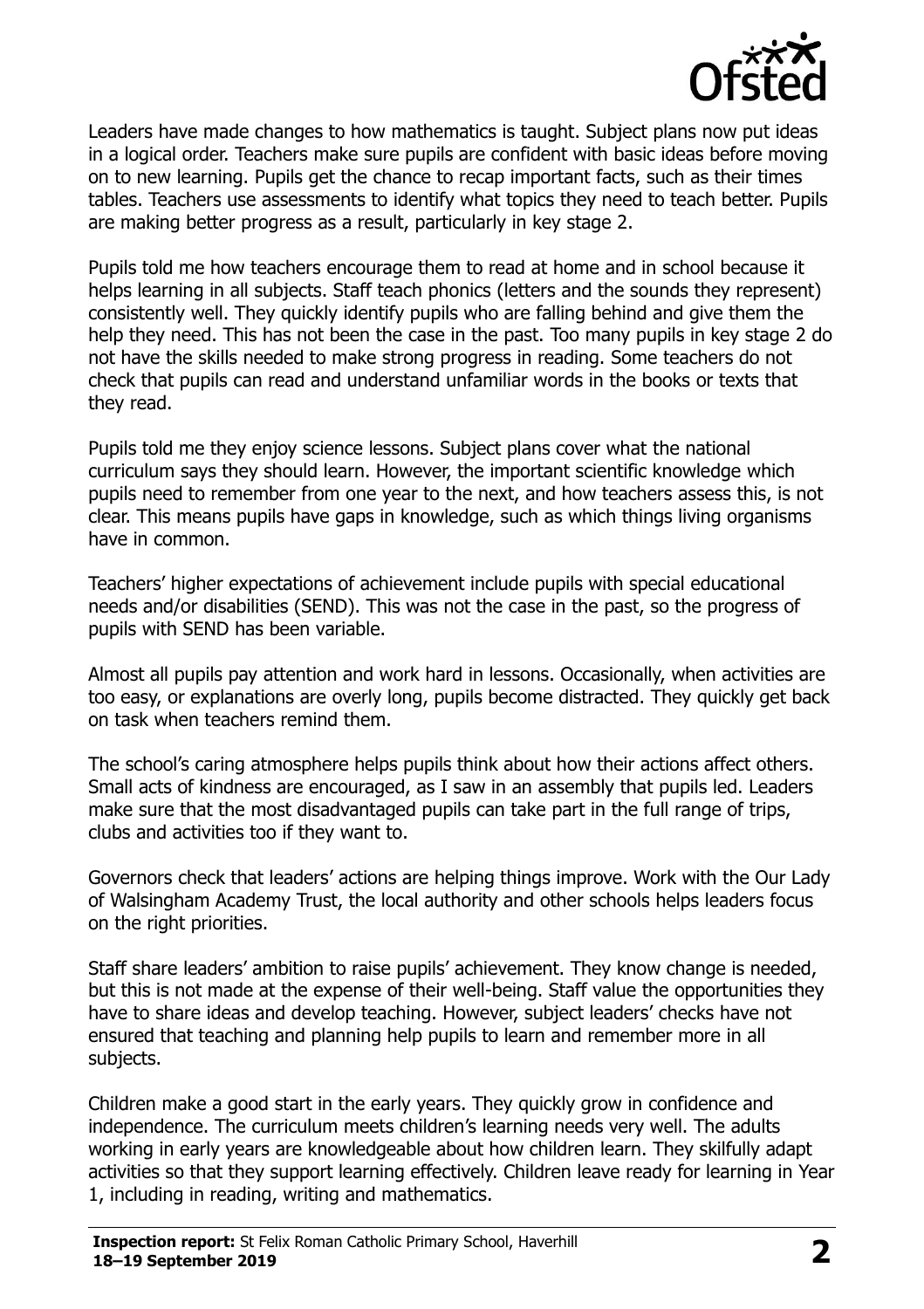

Leaders have made changes to how mathematics is taught. Subject plans now put ideas in a logical order. Teachers make sure pupils are confident with basic ideas before moving on to new learning. Pupils get the chance to recap important facts, such as their times tables. Teachers use assessments to identify what topics they need to teach better. Pupils are making better progress as a result, particularly in key stage 2.

Pupils told me how teachers encourage them to read at home and in school because it helps learning in all subjects. Staff teach phonics (letters and the sounds they represent) consistently well. They quickly identify pupils who are falling behind and give them the help they need. This has not been the case in the past. Too many pupils in key stage 2 do not have the skills needed to make strong progress in reading. Some teachers do not check that pupils can read and understand unfamiliar words in the books or texts that they read.

Pupils told me they enjoy science lessons. Subject plans cover what the national curriculum says they should learn. However, the important scientific knowledge which pupils need to remember from one year to the next, and how teachers assess this, is not clear. This means pupils have gaps in knowledge, such as which things living organisms have in common.

Teachers' higher expectations of achievement include pupils with special educational needs and/or disabilities (SEND). This was not the case in the past, so the progress of pupils with SEND has been variable.

Almost all pupils pay attention and work hard in lessons. Occasionally, when activities are too easy, or explanations are overly long, pupils become distracted. They quickly get back on task when teachers remind them.

The school's caring atmosphere helps pupils think about how their actions affect others. Small acts of kindness are encouraged, as I saw in an assembly that pupils led. Leaders make sure that the most disadvantaged pupils can take part in the full range of trips, clubs and activities too if they want to.

Governors check that leaders' actions are helping things improve. Work with the Our Lady of Walsingham Academy Trust, the local authority and other schools helps leaders focus on the right priorities.

Staff share leaders' ambition to raise pupils' achievement. They know change is needed, but this is not made at the expense of their well-being. Staff value the opportunities they have to share ideas and develop teaching. However, subject leaders' checks have not ensured that teaching and planning help pupils to learn and remember more in all subjects.

Children make a good start in the early years. They quickly grow in confidence and independence. The curriculum meets children's learning needs very well. The adults working in early years are knowledgeable about how children learn. They skilfully adapt activities so that they support learning effectively. Children leave ready for learning in Year 1, including in reading, writing and mathematics.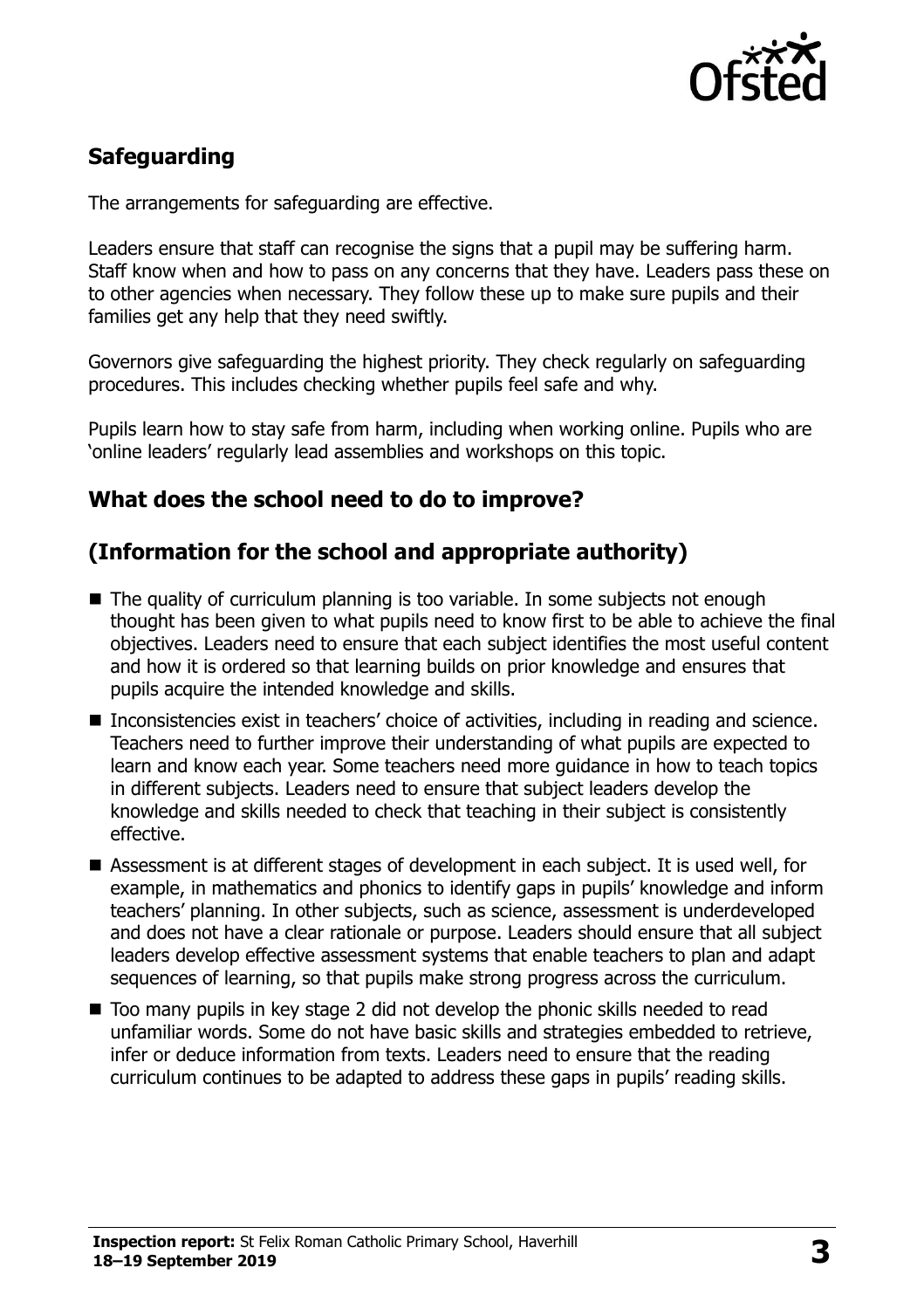

# **Safeguarding**

The arrangements for safeguarding are effective.

Leaders ensure that staff can recognise the signs that a pupil may be suffering harm. Staff know when and how to pass on any concerns that they have. Leaders pass these on to other agencies when necessary. They follow these up to make sure pupils and their families get any help that they need swiftly.

Governors give safeguarding the highest priority. They check regularly on safeguarding procedures. This includes checking whether pupils feel safe and why.

Pupils learn how to stay safe from harm, including when working online. Pupils who are 'online leaders' regularly lead assemblies and workshops on this topic.

# **What does the school need to do to improve?**

# **(Information for the school and appropriate authority)**

- The quality of curriculum planning is too variable. In some subjects not enough thought has been given to what pupils need to know first to be able to achieve the final objectives. Leaders need to ensure that each subject identifies the most useful content and how it is ordered so that learning builds on prior knowledge and ensures that pupils acquire the intended knowledge and skills.
- Inconsistencies exist in teachers' choice of activities, including in reading and science. Teachers need to further improve their understanding of what pupils are expected to learn and know each year. Some teachers need more guidance in how to teach topics in different subjects. Leaders need to ensure that subject leaders develop the knowledge and skills needed to check that teaching in their subject is consistently effective.
- Assessment is at different stages of development in each subject. It is used well, for example, in mathematics and phonics to identify gaps in pupils' knowledge and inform teachers' planning. In other subjects, such as science, assessment is underdeveloped and does not have a clear rationale or purpose. Leaders should ensure that all subject leaders develop effective assessment systems that enable teachers to plan and adapt sequences of learning, so that pupils make strong progress across the curriculum.
- Too many pupils in key stage 2 did not develop the phonic skills needed to read unfamiliar words. Some do not have basic skills and strategies embedded to retrieve, infer or deduce information from texts. Leaders need to ensure that the reading curriculum continues to be adapted to address these gaps in pupils' reading skills.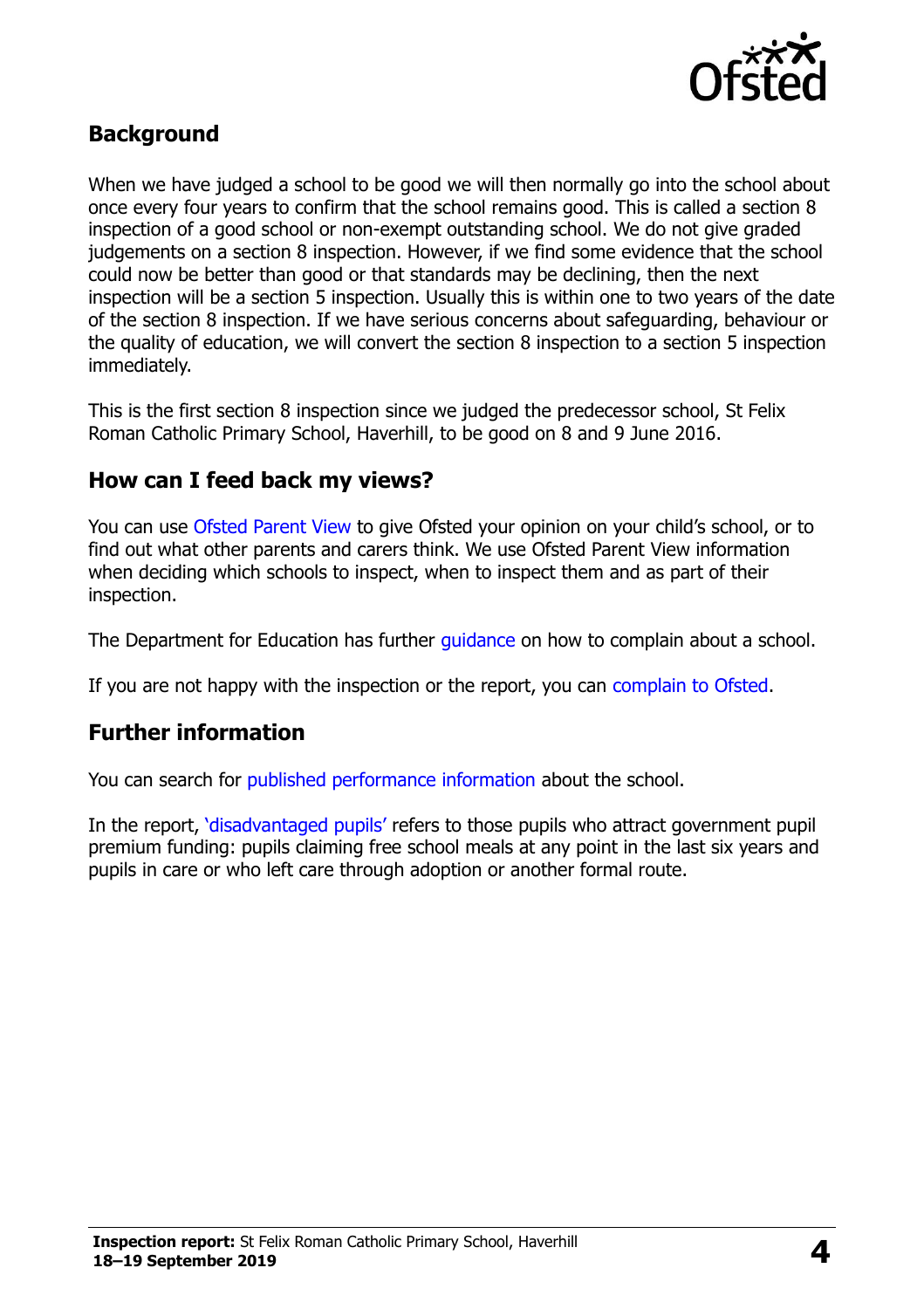

### **Background**

When we have judged a school to be good we will then normally go into the school about once every four years to confirm that the school remains good. This is called a section 8 inspection of a good school or non-exempt outstanding school. We do not give graded judgements on a section 8 inspection. However, if we find some evidence that the school could now be better than good or that standards may be declining, then the next inspection will be a section 5 inspection. Usually this is within one to two years of the date of the section 8 inspection. If we have serious concerns about safeguarding, behaviour or the quality of education, we will convert the section 8 inspection to a section 5 inspection immediately.

This is the first section 8 inspection since we judged the predecessor school, St Felix Roman Catholic Primary School, Haverhill, to be good on 8 and 9 June 2016.

#### **How can I feed back my views?**

You can use [Ofsted Parent View](https://parentview.ofsted.gov.uk/) to give Ofsted your opinion on your child's school, or to find out what other parents and carers think. We use Ofsted Parent View information when deciding which schools to inspect, when to inspect them and as part of their inspection.

The Department for Education has further quidance on how to complain about a school.

If you are not happy with the inspection or the report, you can [complain to Ofsted.](https://www.gov.uk/complain-ofsted-report)

#### **Further information**

You can search for [published performance information](http://www.compare-school-performance.service.gov.uk/) about the school.

In the report, '[disadvantaged pupils](http://www.gov.uk/guidance/pupil-premium-information-for-schools-and-alternative-provision-settings)' refers to those pupils who attract government pupil premium funding: pupils claiming free school meals at any point in the last six years and pupils in care or who left care through adoption or another formal route.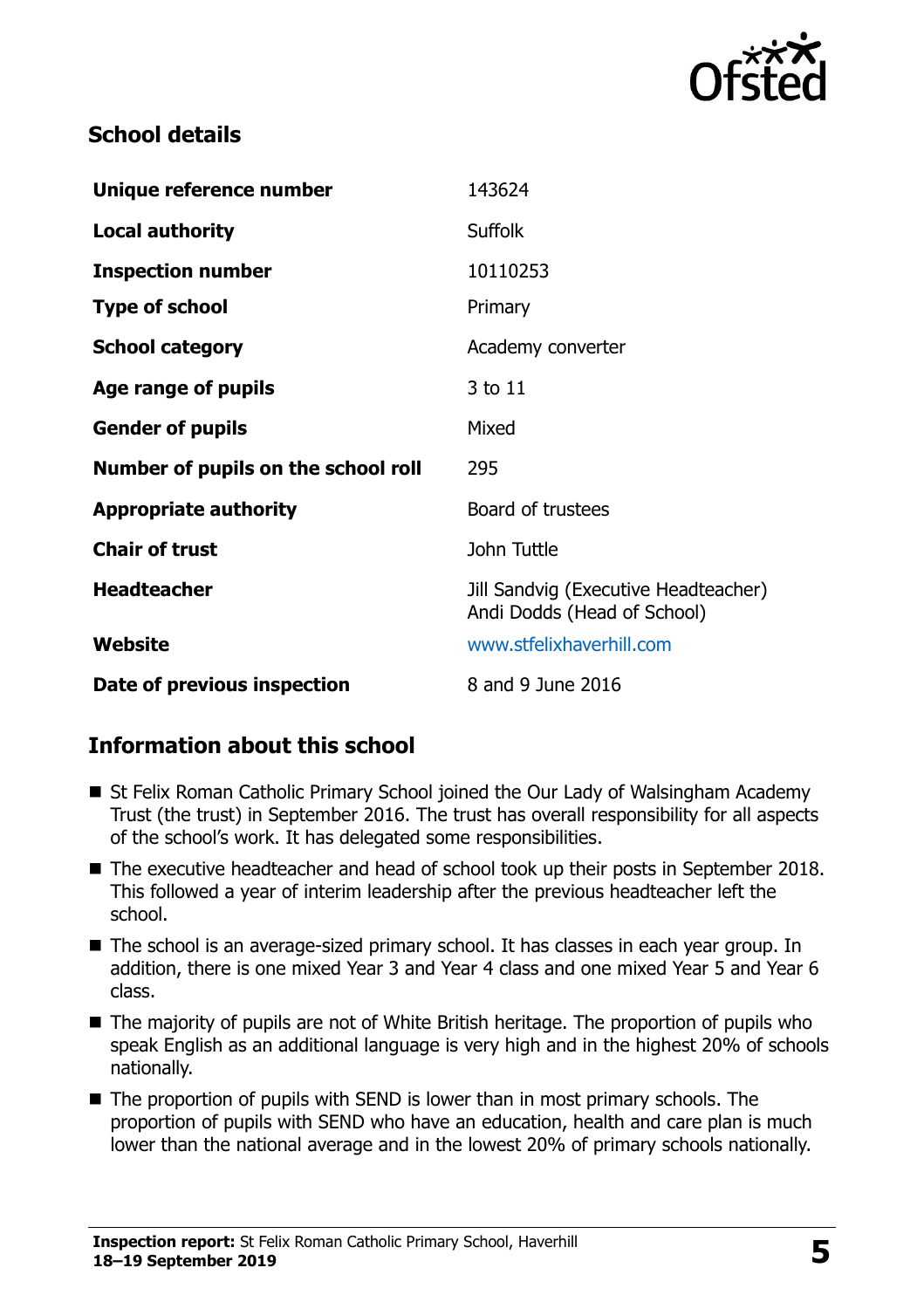

# **School details**

| Unique reference number             | 143624                                                              |
|-------------------------------------|---------------------------------------------------------------------|
| <b>Local authority</b>              | Suffolk                                                             |
| <b>Inspection number</b>            | 10110253                                                            |
| <b>Type of school</b>               | Primary                                                             |
| <b>School category</b>              | Academy converter                                                   |
| Age range of pupils                 | 3 to 11                                                             |
| <b>Gender of pupils</b>             | Mixed                                                               |
| Number of pupils on the school roll | 295                                                                 |
| <b>Appropriate authority</b>        | Board of trustees                                                   |
| <b>Chair of trust</b>               | John Tuttle                                                         |
| <b>Headteacher</b>                  | Jill Sandvig (Executive Headteacher)<br>Andi Dodds (Head of School) |
| Website                             | www.stfelixhaverhill.com                                            |
| Date of previous inspection         | 8 and 9 June 2016                                                   |

# **Information about this school**

- St Felix Roman Catholic Primary School joined the Our Lady of Walsingham Academy Trust (the trust) in September 2016. The trust has overall responsibility for all aspects of the school's work. It has delegated some responsibilities.
- The executive headteacher and head of school took up their posts in September 2018. This followed a year of interim leadership after the previous headteacher left the school.
- The school is an average-sized primary school. It has classes in each year group. In addition, there is one mixed Year 3 and Year 4 class and one mixed Year 5 and Year 6 class.
- The majority of pupils are not of White British heritage. The proportion of pupils who speak English as an additional language is very high and in the highest 20% of schools nationally.
- The proportion of pupils with SEND is lower than in most primary schools. The proportion of pupils with SEND who have an education, health and care plan is much lower than the national average and in the lowest 20% of primary schools nationally.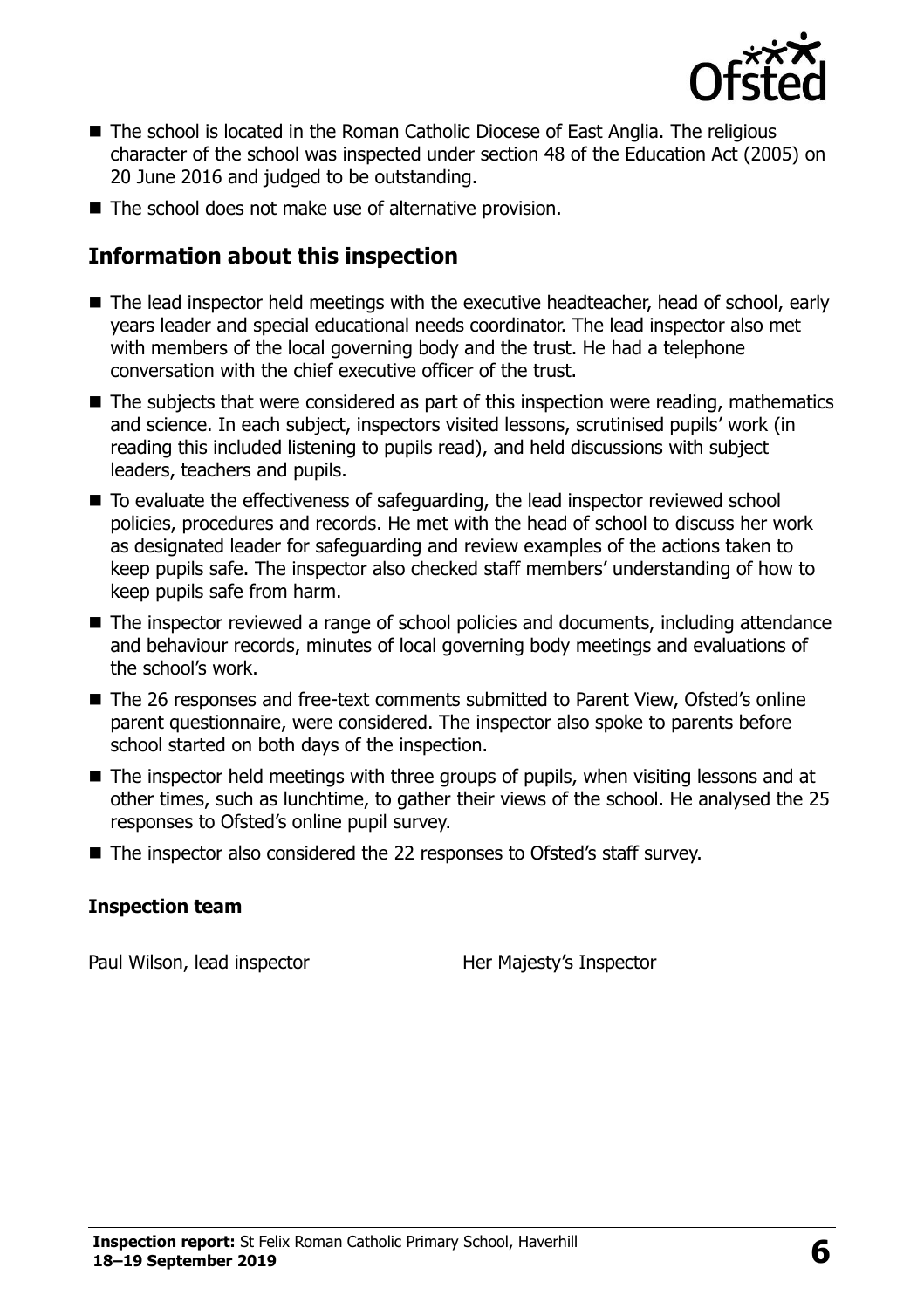

- The school is located in the Roman Catholic Diocese of East Anglia. The religious character of the school was inspected under section 48 of the Education Act (2005) on 20 June 2016 and judged to be outstanding.
- The school does not make use of alternative provision.

# **Information about this inspection**

- The lead inspector held meetings with the executive headteacher, head of school, early years leader and special educational needs coordinator. The lead inspector also met with members of the local governing body and the trust. He had a telephone conversation with the chief executive officer of the trust.
- The subjects that were considered as part of this inspection were reading, mathematics and science. In each subject, inspectors visited lessons, scrutinised pupils' work (in reading this included listening to pupils read), and held discussions with subject leaders, teachers and pupils.
- To evaluate the effectiveness of safeguarding, the lead inspector reviewed school policies, procedures and records. He met with the head of school to discuss her work as designated leader for safeguarding and review examples of the actions taken to keep pupils safe. The inspector also checked staff members' understanding of how to keep pupils safe from harm.
- The inspector reviewed a range of school policies and documents, including attendance and behaviour records, minutes of local governing body meetings and evaluations of the school's work.
- The 26 responses and free-text comments submitted to Parent View, Ofsted's online parent questionnaire, were considered. The inspector also spoke to parents before school started on both days of the inspection.
- The inspector held meetings with three groups of pupils, when visiting lessons and at other times, such as lunchtime, to gather their views of the school. He analysed the 25 responses to Ofsted's online pupil survey.
- The inspector also considered the 22 responses to Ofsted's staff survey.

#### **Inspection team**

Paul Wilson, lead inspector **Her Majesty's Inspector**